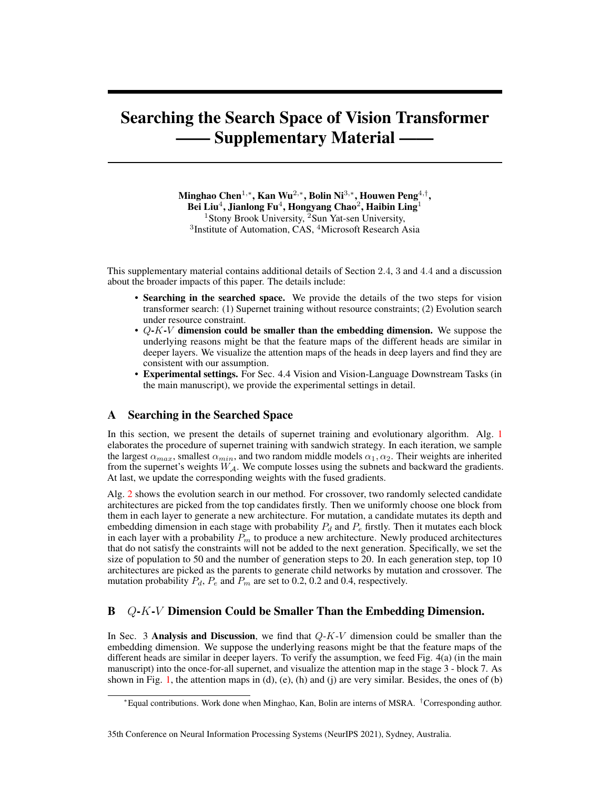# Searching the Search Space of Vision Transformer **Supplementary Material -**

Minghao Chen $^{1,\ast}$ , Kan Wu $^{2,\ast}$ , Bolin Ni $^{3,\ast}$ , Houwen Peng $^{4,\dagger}$ , Bei Liu $^4$ , Jianlong Fu $^4$ , Hongyang Chao $^2$ , Haibin Ling $^1$ <sup>1</sup>Stony Brook University, <sup>2</sup>Sun Yat-sen University, <sup>3</sup>Institute of Automation, CAS, <sup>4</sup>Microsoft Research Asia

This supplementary material contains additional details of Section 2.4, 3 and 4.4 and a discussion about the broader impacts of this paper. The details include:

- Searching in the searched space. We provide the details of the two steps for vision transformer search: (1) Supernet training without resource constraints; (2) Evolution search under resource constraint.
- $Q-K-V$  dimension could be smaller than the embedding dimension. We suppose the underlying reasons might be that the feature maps of the different heads are similar in deeper layers. We visualize the attention maps of the heads in deep layers and find they are consistent with our assumption.
- Experimental settings. For Sec. 4.4 Vision and Vision-Language Downstream Tasks (in the main manuscript), we provide the experimental settings in detail.

## A Searching in the Searched Space

In this section, we present the details of supernet training and evolutionary algorithm. Alg. [1](#page-1-0) elaborates the procedure of supernet training with sandwich strategy. In each iteration, we sample the largest  $\alpha_{max}$ , smallest  $\alpha_{min}$ , and two random middle models  $\alpha_1, \alpha_2$ . Their weights are inherited from the supernet's weights  $W_A$ . We compute losses using the subnets and backward the gradients. At last, we update the corresponding weights with the fused gradients.

Alg. [2](#page-1-1) shows the evolution search in our method. For crossover, two randomly selected candidate architectures are picked from the top candidates firstly. Then we uniformly choose one block from them in each layer to generate a new architecture. For mutation, a candidate mutates its depth and embedding dimension in each stage with probability  $P_d$  and  $P_e$  firstly. Then it mutates each block in each layer with a probability  $P_m$  to produce a new architecture. Newly produced architectures that do not satisfy the constraints will not be added to the next generation. Specifically, we set the size of population to 50 and the number of generation steps to 20. In each generation step, top 10 architectures are picked as the parents to generate child networks by mutation and crossover. The mutation probability  $P_d$ ,  $P_e$  and  $P_m$  are set to 0.2, 0.2 and 0.4, respectively.

# B Q-K-V Dimension Could be Smaller Than the Embedding Dimension.

In Sec. 3 Analysis and Discussion, we find that  $Q-K-V$  dimension could be smaller than the embedding dimension. We suppose the underlying reasons might be that the feature maps of the different heads are similar in deeper layers. To verify the assumption, we feed Fig. 4(a) (in the main manuscript) into the once-for-all supernet, and visualize the attention map in the stage 3 - block 7. As shown in Fig. [1,](#page-1-2) the attention maps in  $(d)$ ,  $(e)$ ,  $(h)$  and  $(i)$  are very similar. Besides, the ones of  $(b)$ 

#### 35th Conference on Neural Information Processing Systems (NeurIPS 2021), Sydney, Australia.

<sup>∗</sup>Equal contributions. Work done when Minghao, Kan, Bolin are interns of MSRA. †Corresponding author.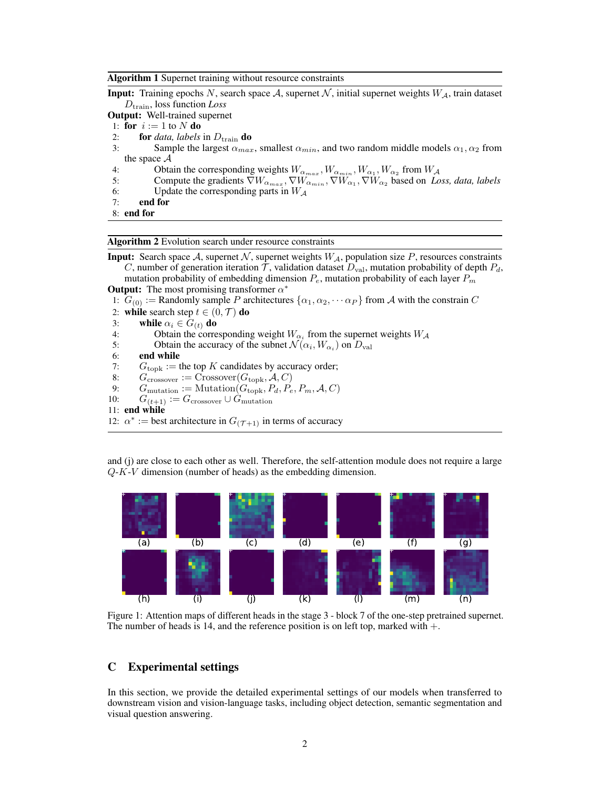<span id="page-1-0"></span>

| Algorithm 1 Supernet training without resource constraints |  |  |  |  |  |
|------------------------------------------------------------|--|--|--|--|--|
|------------------------------------------------------------|--|--|--|--|--|

**Input:** Training epochs N, search space A, supernet N, initial supernet weights  $W_A$ , train dataset Dtrain, loss function *Loss*

Output: Well-trained supernet

1: for  $i := 1$  to N do

2: **for** *data, labels* in  $D_{\text{train}}$  **do**<br>3: **Sample the largest**  $\alpha_{\text{max}}$ 

Sample the largest  $\alpha_{max}$ , smallest  $\alpha_{min}$ , and two random middle models  $\alpha_1, \alpha_2$  from the space  $A$ 

- 4: Obtain the corresponding weights  $W_{\alpha_{max}}$ ,  $W_{\alpha_{min}}$ ,  $W_{\alpha_1}$ ,  $W_{\alpha_2}$  from  $W_{\mathcal{A}}$
- 5: Compute the gradients  $\nabla W_{\alpha_{max}}, \nabla W_{\alpha_{min}}, \nabla W_{\alpha_1}, \nabla W_{\alpha_2}$  based on *Loss, data, labels*
- 6: Update the corresponding parts in  $W_A$ <br>7: **end for**
- end for
- 8: end for

<span id="page-1-1"></span>Algorithm 2 Evolution search under resource constraints

**Input:** Search space A, supernet N, supernet weights  $W_A$ , population size P, resources constraints C, number of generation iteration  $\mathcal{T}$ , validation dataset  $D_{\text{val}}$ , mutation probability of depth  $P_d$ , mutation probability of embedding dimension  $P_e$ , mutation probability of each layer  $P_m$ **Output:** The most promising transformer  $\alpha^*$ 

1:  $G_{(0)} :=$  Randomly sample P architectures  $\{\alpha_1, \alpha_2, \cdots \alpha_P\}$  from A with the constrain C

- 2: while search step  $t \in (0, \mathcal{T})$  do
- 3: while  $\alpha_i \in G_{(t)}$  do<br>4: Obtain the corre
- 4: Obtain the corresponding weight  $W_{\alpha_i}$  from the supernet weights  $W_{\mathcal{A}}$
- 5: Obtain the accuracy of the subnet  $\mathcal{N}(\alpha_i, W_{\alpha_i})$  on  $D_{\text{val}}$
- 6: end while
- 7:  $G_{\text{topk}} := \text{the top } K \text{ candidates by accuracy order};$ <br>8:  $G_{\text{crossover}} := \text{Crossover}(G_{\text{topk}}, \mathcal{A}, C)$
- 8:  $G_{\text{crossover}} := \text{Crossover}(G_{\text{topk}}, \mathcal{A}, C)$ <br>9:  $G_{\text{mutation}} := \text{Mutation}(G_{\text{topk}}, P_d, P_e)$
- 9:  $G_{\text{mutation}} := \text{Multation}(G_{\text{topk}}, P_d, P_e, P_m, A, C)$ <br>10:  $G_{(t+1)} := G_{\text{crossover}} \cup G_{\text{mutation}}$
- $G_{(t+1)} := G_{\text{crossover}} \cup G_{\text{mutation}}$

```
11: end while
```
12:  $\alpha^*$  := best architecture in  $G_{(\mathcal{T}+1)}$  in terms of accuracy

and (j) are close to each other as well. Therefore, the self-attention module does not require a large Q-K-V dimension (number of heads) as the embedding dimension.

<span id="page-1-2"></span>

Figure 1: Attention maps of different heads in the stage 3 - block 7 of the one-step pretrained supernet. The number of heads is 14, and the reference position is on left top, marked with  $+$ .

## C Experimental settings

In this section, we provide the detailed experimental settings of our models when transferred to downstream vision and vision-language tasks, including object detection, semantic segmentation and visual question answering.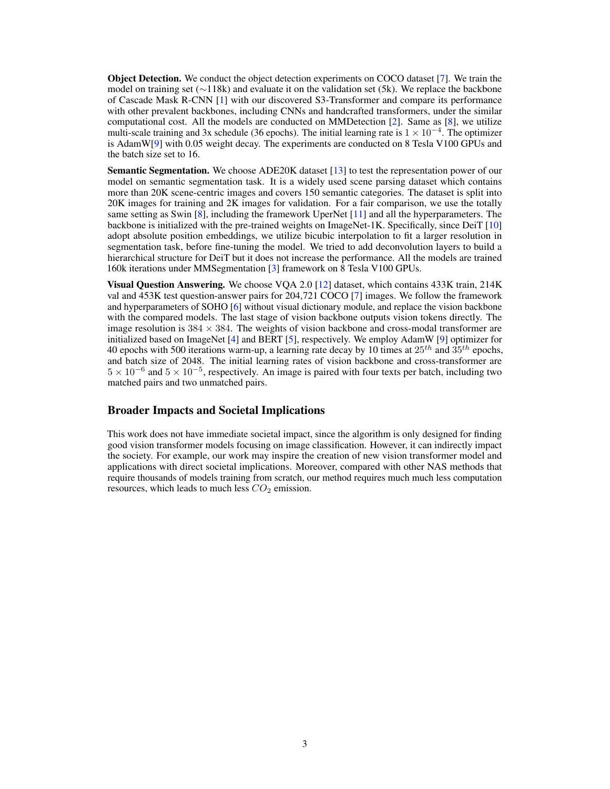<span id="page-2-0"></span>Object Detection. We conduct the object detection experiments on COCO dataset [\[7\]](#page-3-0). We train the model on training set (∼118k) and evaluate it on the validation set (5k). We replace the backbone of Cascade Mask R-CNN [\[1\]](#page-3-1) with our discovered S3-Transformer and compare its performance with other prevalent backbones, including CNNs and handcrafted transformers, under the similar computational cost. All the models are conducted on MMDetection [\[2\]](#page-3-2). Same as [\[8\]](#page-3-3), we utilize multi-scale training and 3x schedule (36 epochs). The initial learning rate is  $1 \times 10^{-4}$ . The optimizer is AdamW[\[9\]](#page-3-4) with 0.05 weight decay. The experiments are conducted on 8 Tesla V100 GPUs and the batch size set to 16.

Semantic Segmentation. We choose ADE20K dataset [\[13\]](#page-3-5) to test the representation power of our model on semantic segmentation task. It is a widely used scene parsing dataset which contains more than 20K scene-centric images and covers 150 semantic categories. The dataset is split into 20K images for training and 2K images for validation. For a fair comparison, we use the totally same setting as Swin [\[8\]](#page-3-3), including the framework UperNet [\[11\]](#page-3-6) and all the hyperparameters. The backbone is initialized with the pre-trained weights on ImageNet-1K. Specifically, since DeiT [\[10\]](#page-3-7) adopt absolute position embeddings, we utilize bicubic interpolation to fit a larger resolution in segmentation task, before fine-tuning the model. We tried to add deconvolution layers to build a hierarchical structure for DeiT but it does not increase the performance. All the models are trained 160k iterations under MMSegmentation [\[3\]](#page-3-8) framework on 8 Tesla V100 GPUs.

Visual Question Answering. We choose VQA 2.0 [\[12\]](#page-3-9) dataset, which contains 433K train, 214K val and 453K test question-answer pairs for 204,721 COCO [\[7\]](#page-3-0) images. We follow the framework and hyperparameters of SOHO [\[6\]](#page-3-10) without visual dictionary module, and replace the vision backbone with the compared models. The last stage of vision backbone outputs vision tokens directly. The image resolution is  $384 \times 384$ . The weights of vision backbone and cross-modal transformer are initialized based on ImageNet [\[4\]](#page-3-11) and BERT [\[5\]](#page-3-12), respectively. We employ AdamW [\[9\]](#page-3-4) optimizer for 40 epochs with 500 iterations warm-up, a learning rate decay by 10 times at  $25^{th}$  and  $35^{th}$  epochs, and batch size of 2048. The initial learning rates of vision backbone and cross-transformer are  $5 \times 10^{-6}$  and  $5 \times 10^{-5}$ , respectively. An image is paired with four texts per batch, including two matched pairs and two unmatched pairs.

# Broader Impacts and Societal Implications

This work does not have immediate societal impact, since the algorithm is only designed for finding good vision transformer models focusing on image classification. However, it can indirectly impact the society. For example, our work may inspire the creation of new vision transformer model and applications with direct societal implications. Moreover, compared with other NAS methods that require thousands of models training from scratch, our method requires much much less computation resources, which leads to much less  $CO<sub>2</sub>$  emission.